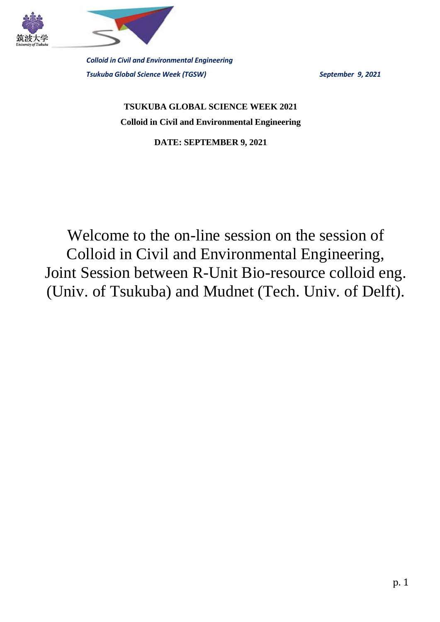



**TSUKUBA GLOBAL SCIENCE WEEK 2021 Colloid in Civil and Environmental Engineering**

**DATE: SEPTEMBER 9, 2021**

Welcome to the on-line session on the session of Colloid in Civil and Environmental Engineering, Joint Session between R-Unit Bio-resource colloid eng. (Univ. of Tsukuba) and Mudnet (Tech. Univ. of Delft).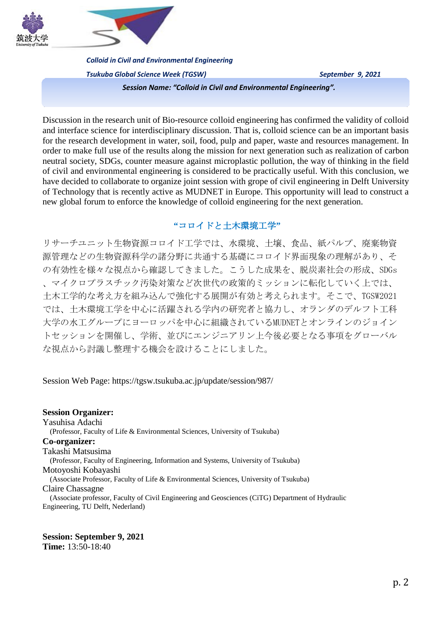



*Colloid in Civil and Environmental Engineering*

*Tsukuba Global Science Week (TGSW) September 9, 2021*

*Session Name: "Colloid in Civil and Environmental Engineering".*

Discussion in the research unit of Bio-resource colloid engineering has confirmed the validity of colloid and interface science for interdisciplinary discussion. That is, colloid science can be an important basis for the research development in water, soil, food, pulp and paper, waste and resources management. In order to make full use of the results along the mission for next generation such as realization of carbon neutral society, SDGs, counter measure against microplastic pollution, the way of thinking in the field of civil and environmental engineering is considered to be practically useful. With this conclusion, we have decided to collaborate to organize joint session with grope of civil engineering in Delft University of Technology that is recently active as MUDNET in Europe. This opportunity will lead to construct a new global forum to enforce the knowledge of colloid engineering for the next generation.

## **"**コロイドと土木環境工学**"**

リサーチユニット生物資源コロイド工学では、水環境、土壌、食品、紙パルプ、廃棄物資 源管理などの生物資源科学の諸分野に共通する基礎にコロイド界面現象の理解があり、そ の有効性を様々な視点から確認してきました。こうした成果を、脱炭素社会の形成、SDGs 、マイクロプラスチック汚染対策など次世代の政策的ミッションに転化していく上では、 土木工学的な考え方を組み込んで強化する展開が有効と考えられます。そこで、TGSW2021 では、土木環境工学を中心に活躍される学内の研究者と協力し、オランダのデルフト工科 大学の水工グループにヨーロッパを中心に組織されているMUDNETとオンラインのジョイン トセッションを開催し、学術、並びにエンジニアリン上今後必要となる事項をグローバル な視点から討議し整理する機会を設けることにしました。

Session Web Page: https://tgsw.tsukuba.ac.jp/update/session/987/

**Session Organizer:**  Yasuhisa Adachi (Professor, Faculty of Life & Environmental Sciences, University of Tsukuba) **Co-organizer:** Takashi Matsusima (Professor, Faculty of Engineering, Information and Systems, University of Tsukuba) Motoyoshi Kobayashi (Associate Professor, Faculty of Life & Environmental Sciences, University of Tsukuba) Claire Chassagne (Associate professor, Faculty of Civil Engineering and Geosciences (CiTG) Department of Hydraulic Engineering, TU Delft, Nederland)

#### **Session: September 9, 2021 Time:** 13:50-18:40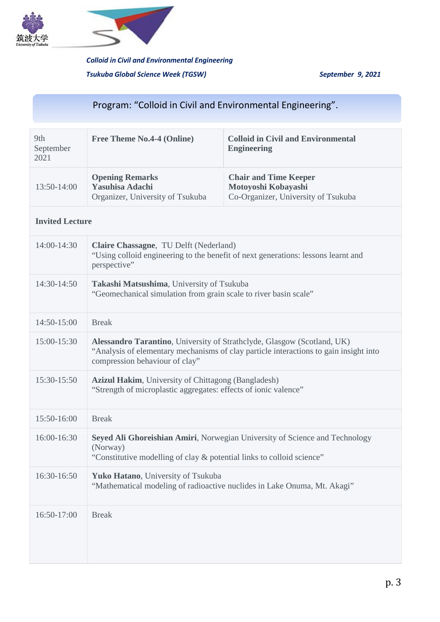



# Program: "Colloid in Civil and Environmental Engineering".

| 9th<br>September<br>2021 | <b>Free Theme No.4-4 (Online)</b>                                                    | <b>Colloid in Civil and Environmental</b><br><b>Engineering</b>                            |
|--------------------------|--------------------------------------------------------------------------------------|--------------------------------------------------------------------------------------------|
| $13:50-14:00$            | <b>Opening Remarks</b><br><b>Yasuhisa Adachi</b><br>Organizer, University of Tsukuba | <b>Chair and Time Keeper</b><br>Motoyoshi Kobayashi<br>Co-Organizer, University of Tsukuba |

## **Invited Lecture**

| $14:00-14:30$   | Claire Chassagne, TU Delft (Nederland)<br>"Using colloid engineering to the benefit of next generations: lessons learnt and<br>perspective"                                                        |
|-----------------|----------------------------------------------------------------------------------------------------------------------------------------------------------------------------------------------------|
| 14:30-14:50     | Takashi Matsushima, University of Tsukuba<br>"Geomechanical simulation from grain scale to river basin scale"                                                                                      |
| 14:50-15:00     | <b>Break</b>                                                                                                                                                                                       |
| 15:00-15:30     | Alessandro Tarantino, University of Strathclyde, Glasgow (Scotland, UK)<br>"Analysis of elementary mechanisms of clay particle interactions to gain insight into<br>compression behaviour of clay" |
| 15:30-15:50     | Azizul Hakim, University of Chittagong (Bangladesh)<br>"Strength of microplastic aggregates: effects of ionic valence"                                                                             |
| 15:50-16:00     | <b>Break</b>                                                                                                                                                                                       |
| $16:00 - 16:30$ | Seyed Ali Ghoreishian Amiri, Norwegian University of Science and Technology<br>(Norway)<br>"Constitutive modelling of clay & potential links to colloid science"                                   |
| 16:30-16:50     | Yuko Hatano, University of Tsukuba<br>"Mathematical modeling of radioactive nuclides in Lake Onuma, Mt. Akagi"                                                                                     |
| 16:50-17:00     | <b>Break</b>                                                                                                                                                                                       |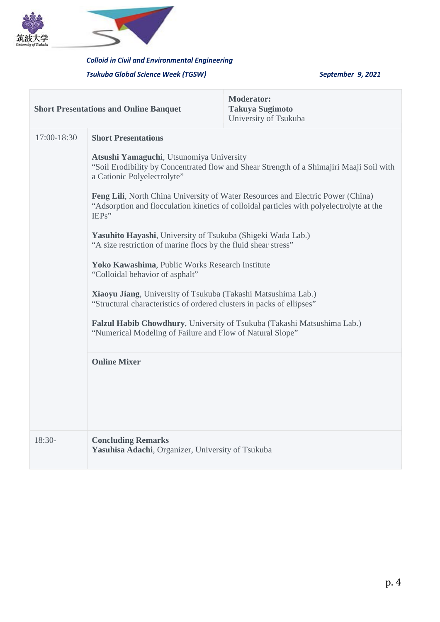



## *Colloid in Civil and Environmental Engineering*

## *Tsukuba Global Science Week (TGSW) September 9, 2021*

| <b>Short Presentations and Online Banquet</b> |                                                                                                                                                                                                                                                                                                                                                                                                             | <b>Moderator:</b><br><b>Takuya Sugimoto</b><br>University of Tsukuba |  |
|-----------------------------------------------|-------------------------------------------------------------------------------------------------------------------------------------------------------------------------------------------------------------------------------------------------------------------------------------------------------------------------------------------------------------------------------------------------------------|----------------------------------------------------------------------|--|
| 17:00-18:30                                   | <b>Short Presentations</b>                                                                                                                                                                                                                                                                                                                                                                                  |                                                                      |  |
|                                               | Atsushi Yamaguchi, Utsunomiya University<br>"Soil Erodibility by Concentrated flow and Shear Strength of a Shimajiri Maaji Soil with<br>a Cationic Polyelectrolyte"                                                                                                                                                                                                                                         |                                                                      |  |
|                                               | Feng Lili, North China University of Water Resources and Electric Power (China)<br>"Adsorption and flocculation kinetics of colloidal particles with polyelectrolyte at the<br>IEPs"<br>Yasuhito Hayashi, University of Tsukuba (Shigeki Wada Lab.)<br>"A size restriction of marine flocs by the fluid shear stress"<br>Yoko Kawashima, Public Works Research Institute<br>"Colloidal behavior of asphalt" |                                                                      |  |
|                                               |                                                                                                                                                                                                                                                                                                                                                                                                             |                                                                      |  |
|                                               |                                                                                                                                                                                                                                                                                                                                                                                                             |                                                                      |  |
|                                               | Xiaoyu Jiang, University of Tsukuba (Takashi Matsushima Lab.)<br>"Structural characteristics of ordered clusters in packs of ellipses"                                                                                                                                                                                                                                                                      |                                                                      |  |
|                                               | Falzul Habib Chowdhury, University of Tsukuba (Takashi Matsushima Lab.)<br>"Numerical Modeling of Failure and Flow of Natural Slope"                                                                                                                                                                                                                                                                        |                                                                      |  |
|                                               | <b>Online Mixer</b>                                                                                                                                                                                                                                                                                                                                                                                         |                                                                      |  |
|                                               |                                                                                                                                                                                                                                                                                                                                                                                                             |                                                                      |  |
| $18:30-$                                      | <b>Concluding Remarks</b><br>Yasuhisa Adachi, Organizer, University of Tsukuba                                                                                                                                                                                                                                                                                                                              |                                                                      |  |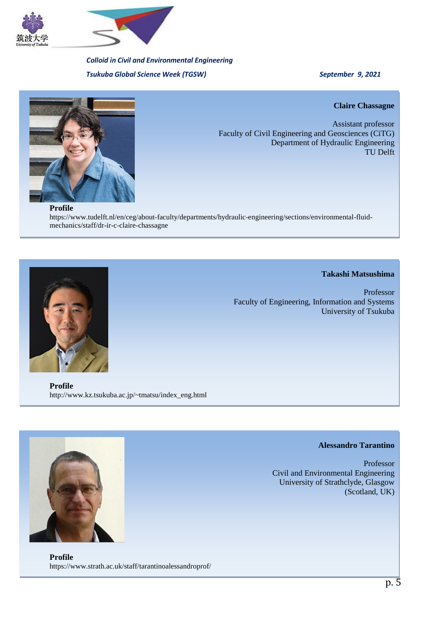



**Claire Chassagne**

Assistant professor Faculty of Civil Engineering and Geosciences (CiTG) Department of Hydraulic Engineering TU Delft

**Profile**

https://www.tudelft.nl/en/ceg/about-faculty/departments/hydraulic-engineering/sections/environmental-fluidmechanics/staff/dr-ir-c-claire-chassagne



#### **Takashi Matsushima**

Professor Faculty of Engineering, Information and Systems University of Tsukuba

**Profile** http://www.kz.tsukuba.ac.jp/~tmatsu/index\_eng.html

### **Alessandro Tarantino**

Professor Civil and Environmental Engineering University of Strathclyde, Glasgow (Scotland, UK)